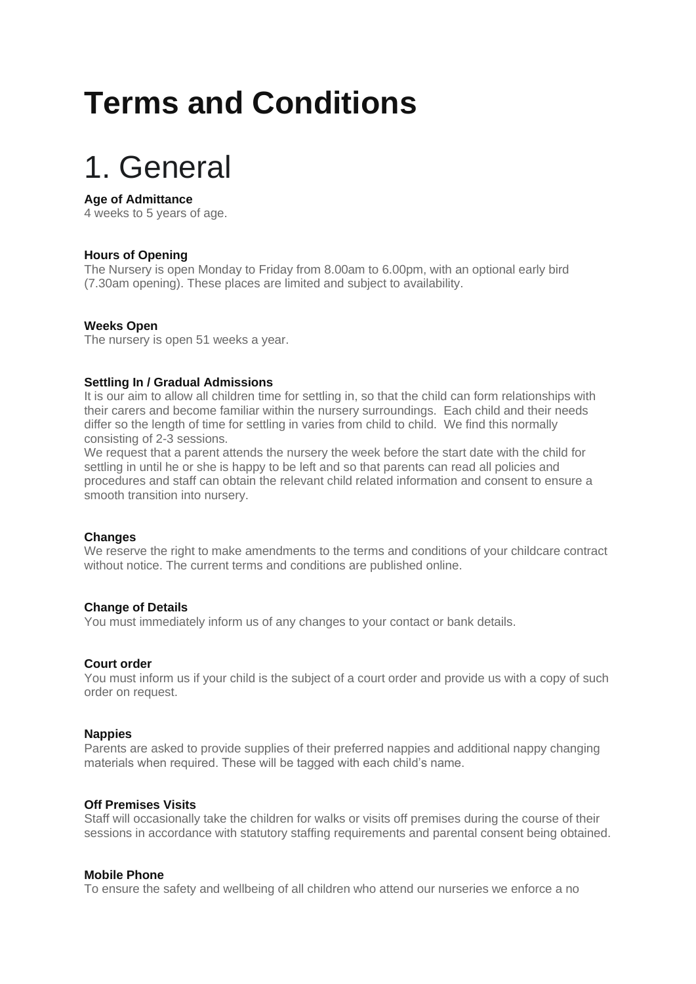## **Terms and Conditions**

## 1. General

## **Age of Admittance**

4 weeks to 5 years of age.

## **Hours of Opening**

The Nursery is open Monday to Friday from 8.00am to 6.00pm, with an optional early bird (7.30am opening). These places are limited and subject to availability.

## **Weeks Open**

The nursery is open 51 weeks a year.

## **Settling In / Gradual Admissions**

It is our aim to allow all children time for settling in, so that the child can form relationships with their carers and become familiar within the nursery surroundings. Each child and their needs differ so the length of time for settling in varies from child to child. We find this normally consisting of 2-3 sessions.

We request that a parent attends the nursery the week before the start date with the child for settling in until he or she is happy to be left and so that parents can read all policies and procedures and staff can obtain the relevant child related information and consent to ensure a smooth transition into nursery.

## **Changes**

We reserve the right to make amendments to the terms and conditions of your childcare contract without notice. The current terms and conditions are published online.

## **Change of Details**

You must immediately inform us of any changes to your contact or bank details.

## **Court order**

You must inform us if your child is the subject of a court order and provide us with a copy of such order on request.

## **Nappies**

Parents are asked to provide supplies of their preferred nappies and additional nappy changing materials when required. These will be tagged with each child's name.

## **Off Premises Visits**

Staff will occasionally take the children for walks or visits off premises during the course of their sessions in accordance with statutory staffing requirements and parental consent being obtained.

## **Mobile Phone**

To ensure the safety and wellbeing of all children who attend our nurseries we enforce a no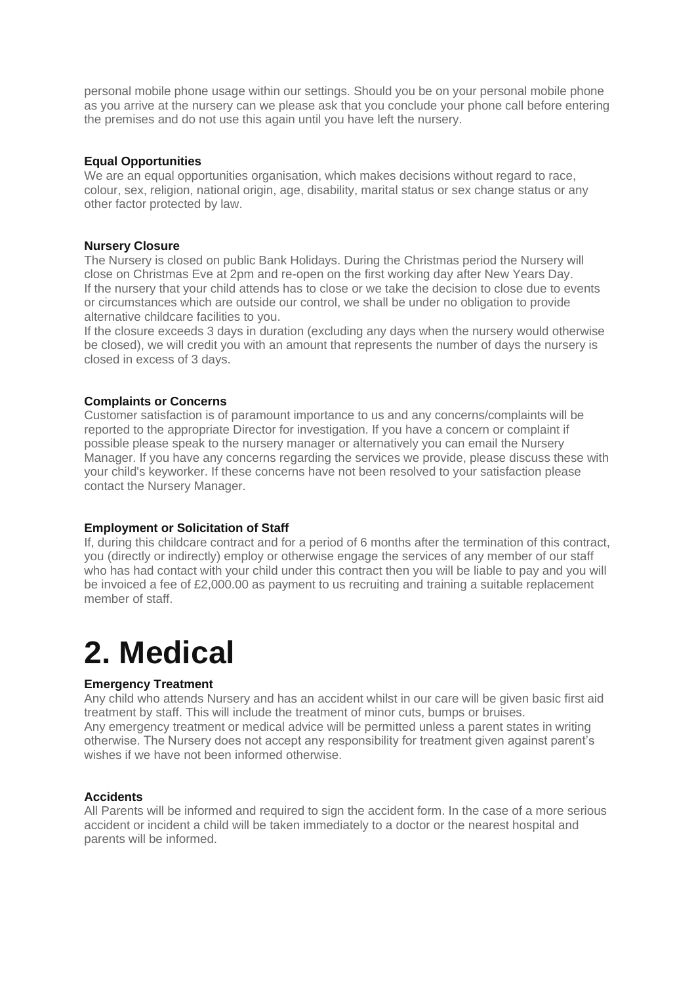personal mobile phone usage within our settings. Should you be on your personal mobile phone as you arrive at the nursery can we please ask that you conclude your phone call before entering the premises and do not use this again until you have left the nursery.

## **Equal Opportunities**

We are an equal opportunities organisation, which makes decisions without regard to race, colour, sex, religion, national origin, age, disability, marital status or sex change status or any other factor protected by law.

## **Nursery Closure**

The Nursery is closed on public Bank Holidays. During the Christmas period the Nursery will close on Christmas Eve at 2pm and re-open on the first working day after New Years Day. If the nursery that your child attends has to close or we take the decision to close due to events or circumstances which are outside our control, we shall be under no obligation to provide alternative childcare facilities to you.

If the closure exceeds 3 days in duration (excluding any days when the nursery would otherwise be closed), we will credit you with an amount that represents the number of days the nursery is closed in excess of 3 days.

## **Complaints or Concerns**

Customer satisfaction is of paramount importance to us and any concerns/complaints will be reported to the appropriate Director for investigation. If you have a concern or complaint if possible please speak to the nursery manager or alternatively you can email the Nursery Manager. If you have any concerns regarding the services we provide, please discuss these with your child's keyworker. If these concerns have not been resolved to your satisfaction please contact the Nursery Manager.

## **Employment or Solicitation of Staff**

If, during this childcare contract and for a period of 6 months after the termination of this contract, you (directly or indirectly) employ or otherwise engage the services of any member of our staff who has had contact with your child under this contract then you will be liable to pay and you will be invoiced a fee of £2,000.00 as payment to us recruiting and training a suitable replacement member of staff

## **2. Medical**

## **Emergency Treatment**

Any child who attends Nursery and has an accident whilst in our care will be given basic first aid treatment by staff. This will include the treatment of minor cuts, bumps or bruises. Any emergency treatment or medical advice will be permitted unless a parent states in writing otherwise. The Nursery does not accept any responsibility for treatment given against parent's wishes if we have not been informed otherwise.

## **Accidents**

All Parents will be informed and required to sign the accident form. In the case of a more serious accident or incident a child will be taken immediately to a doctor or the nearest hospital and parents will be informed.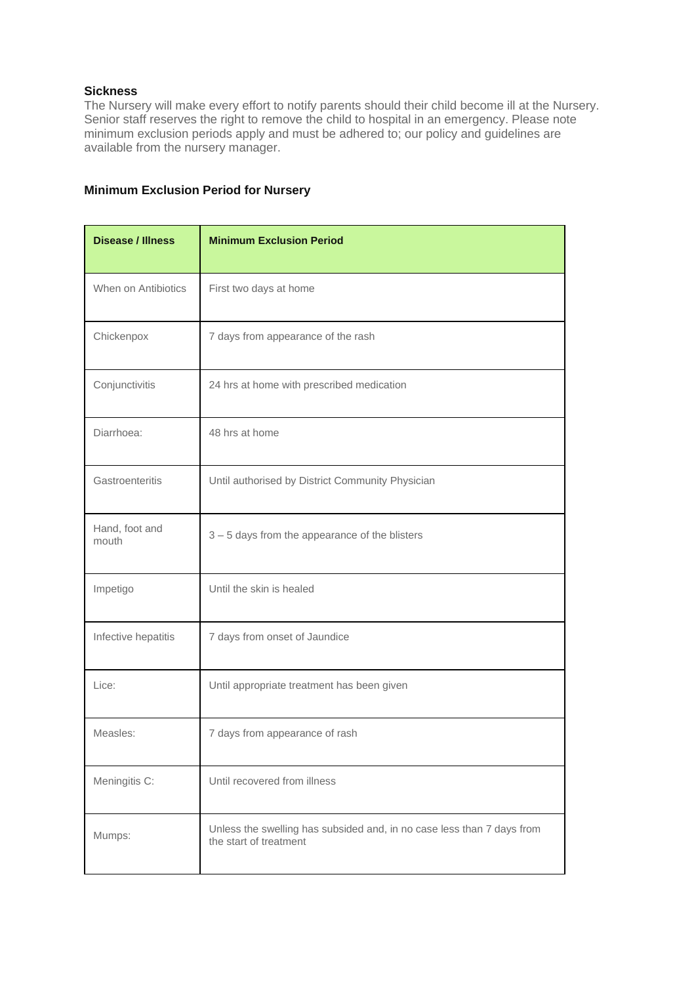## **Sickness**

The Nursery will make every effort to notify parents should their child become ill at the Nursery. Senior staff reserves the right to remove the child to hospital in an emergency. Please note minimum exclusion periods apply and must be adhered to; our policy and guidelines are available from the nursery manager.

## **Minimum Exclusion Period for Nursery**

| <b>Disease / Illness</b> | <b>Minimum Exclusion Period</b>                                                                  |
|--------------------------|--------------------------------------------------------------------------------------------------|
| When on Antibiotics      | First two days at home                                                                           |
| Chickenpox               | 7 days from appearance of the rash                                                               |
| Conjunctivitis           | 24 hrs at home with prescribed medication                                                        |
| Diarrhoea:               | 48 hrs at home                                                                                   |
| Gastroenteritis          | Until authorised by District Community Physician                                                 |
| Hand, foot and<br>mouth  | 3 - 5 days from the appearance of the blisters                                                   |
| Impetigo                 | Until the skin is healed                                                                         |
| Infective hepatitis      | 7 days from onset of Jaundice                                                                    |
| Lice:                    | Until appropriate treatment has been given                                                       |
| Measles:                 | 7 days from appearance of rash                                                                   |
| Meningitis C:            | Until recovered from illness                                                                     |
| Mumps:                   | Unless the swelling has subsided and, in no case less than 7 days from<br>the start of treatment |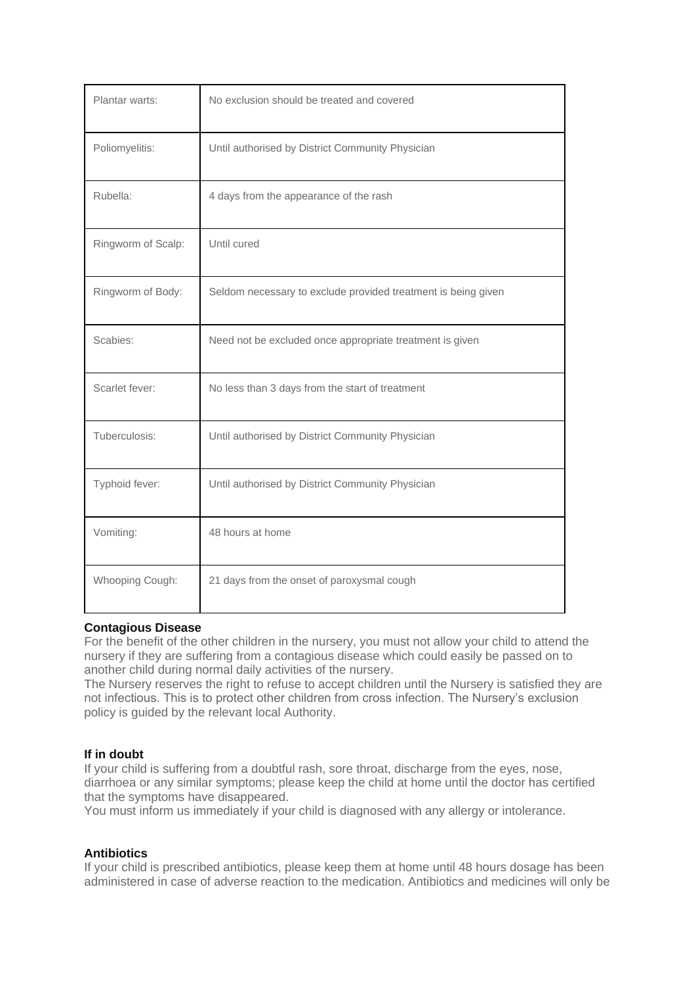| Plantar warts:     | No exclusion should be treated and covered                    |
|--------------------|---------------------------------------------------------------|
| Poliomyelitis:     | Until authorised by District Community Physician              |
| Rubella:           | 4 days from the appearance of the rash                        |
| Ringworm of Scalp: | Until cured                                                   |
| Ringworm of Body:  | Seldom necessary to exclude provided treatment is being given |
| Scabies:           | Need not be excluded once appropriate treatment is given      |
| Scarlet fever:     | No less than 3 days from the start of treatment               |
| Tuberculosis:      | Until authorised by District Community Physician              |
| Typhoid fever:     | Until authorised by District Community Physician              |
| Vomiting:          | 48 hours at home                                              |
| Whooping Cough:    | 21 days from the onset of paroxysmal cough                    |

## **Contagious Disease**

For the benefit of the other children in the nursery, you must not allow your child to attend the nursery if they are suffering from a contagious disease which could easily be passed on to another child during normal daily activities of the nursery.

The Nursery reserves the right to refuse to accept children until the Nursery is satisfied they are not infectious. This is to protect other children from cross infection. The Nursery's exclusion policy is guided by the relevant local Authority.

## **If in doubt**

If your child is suffering from a doubtful rash, sore throat, discharge from the eyes, nose, diarrhoea or any similar symptoms; please keep the child at home until the doctor has certified that the symptoms have disappeared.

You must inform us immediately if your child is diagnosed with any allergy or intolerance.

## **Antibiotics**

If your child is prescribed antibiotics, please keep them at home until 48 hours dosage has been administered in case of adverse reaction to the medication. Antibiotics and medicines will only be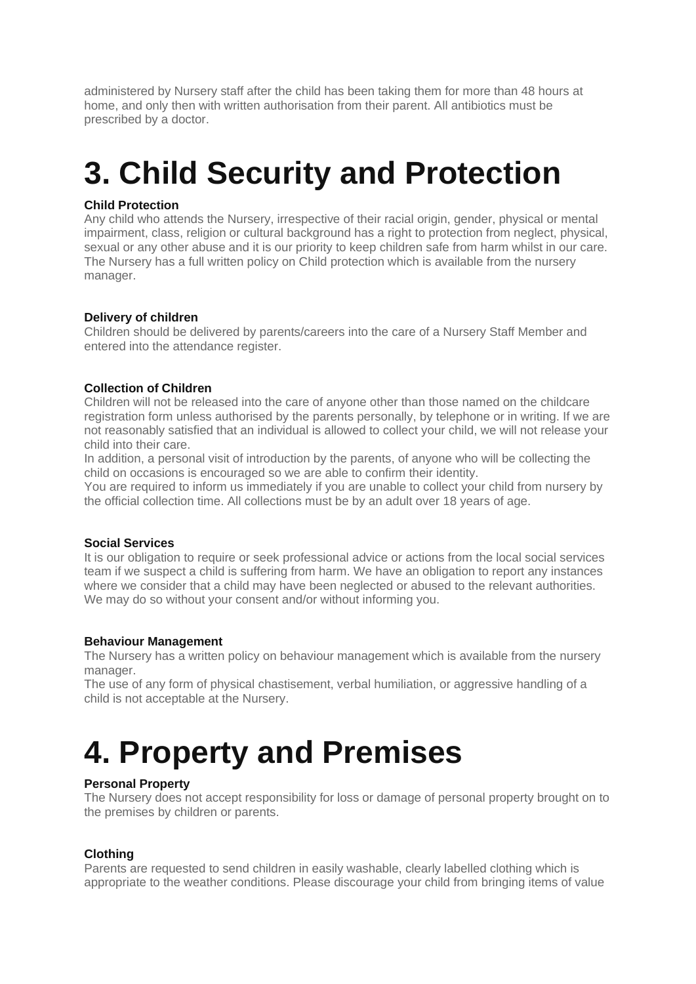administered by Nursery staff after the child has been taking them for more than 48 hours at home, and only then with written authorisation from their parent. All antibiotics must be prescribed by a doctor.

## **3. Child Security and Protection**

## **Child Protection**

Any child who attends the Nursery, irrespective of their racial origin, gender, physical or mental impairment, class, religion or cultural background has a right to protection from neglect, physical, sexual or any other abuse and it is our priority to keep children safe from harm whilst in our care. The Nursery has a full written policy on Child protection which is available from the nursery manager.

## **Delivery of children**

Children should be delivered by parents/careers into the care of a Nursery Staff Member and entered into the attendance register.

## **Collection of Children**

Children will not be released into the care of anyone other than those named on the childcare registration form unless authorised by the parents personally, by telephone or in writing. If we are not reasonably satisfied that an individual is allowed to collect your child, we will not release your child into their care.

In addition, a personal visit of introduction by the parents, of anyone who will be collecting the child on occasions is encouraged so we are able to confirm their identity.

You are required to inform us immediately if you are unable to collect your child from nursery by the official collection time. All collections must be by an adult over 18 years of age.

## **Social Services**

It is our obligation to require or seek professional advice or actions from the local social services team if we suspect a child is suffering from harm. We have an obligation to report any instances where we consider that a child may have been neglected or abused to the relevant authorities. We may do so without your consent and/or without informing you.

## **Behaviour Management**

The Nursery has a written policy on behaviour management which is available from the nursery manager.

The use of any form of physical chastisement, verbal humiliation, or aggressive handling of a child is not acceptable at the Nursery.

## **4. Property and Premises**

## **Personal Property**

The Nursery does not accept responsibility for loss or damage of personal property brought on to the premises by children or parents.

## **Clothing**

Parents are requested to send children in easily washable, clearly labelled clothing which is appropriate to the weather conditions. Please discourage your child from bringing items of value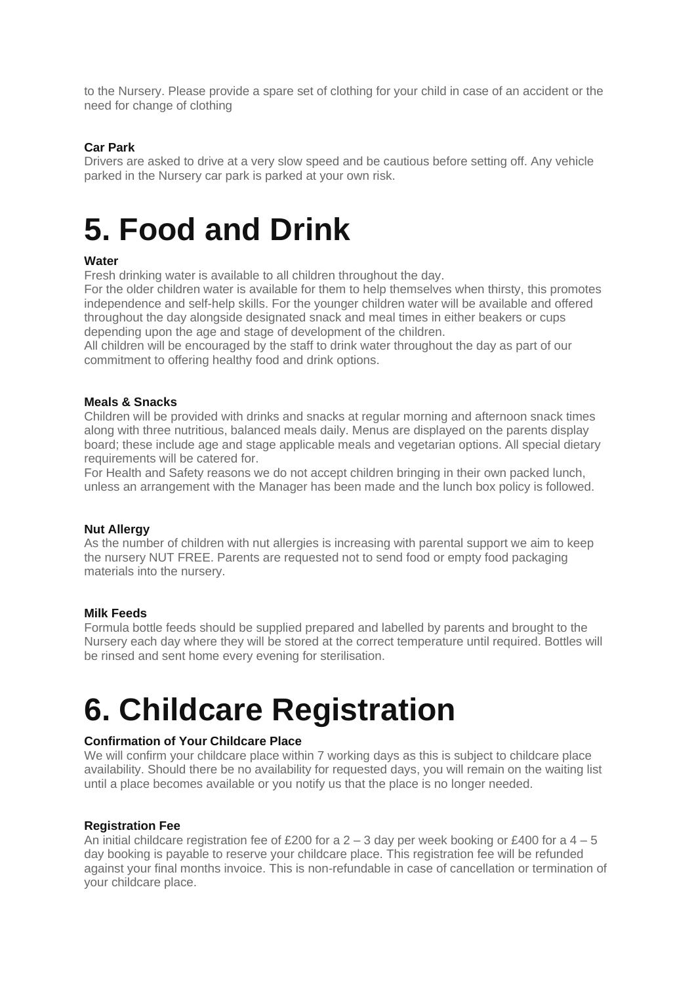to the Nursery. Please provide a spare set of clothing for your child in case of an accident or the need for change of clothing

## **Car Park**

Drivers are asked to drive at a very slow speed and be cautious before setting off. Any vehicle parked in the Nursery car park is parked at your own risk.

## **5. Food and Drink**

## **Water**

Fresh drinking water is available to all children throughout the day.

For the older children water is available for them to help themselves when thirsty, this promotes independence and self-help skills. For the younger children water will be available and offered throughout the day alongside designated snack and meal times in either beakers or cups depending upon the age and stage of development of the children.

All children will be encouraged by the staff to drink water throughout the day as part of our commitment to offering healthy food and drink options.

#### **Meals & Snacks**

Children will be provided with drinks and snacks at regular morning and afternoon snack times along with three nutritious, balanced meals daily. Menus are displayed on the parents display board; these include age and stage applicable meals and vegetarian options. All special dietary requirements will be catered for.

For Health and Safety reasons we do not accept children bringing in their own packed lunch, unless an arrangement with the Manager has been made and the lunch box policy is followed.

#### **Nut Allergy**

As the number of children with nut allergies is increasing with parental support we aim to keep the nursery NUT FREE. Parents are requested not to send food or empty food packaging materials into the nursery.

#### **Milk Feeds**

Formula bottle feeds should be supplied prepared and labelled by parents and brought to the Nursery each day where they will be stored at the correct temperature until required. Bottles will be rinsed and sent home every evening for sterilisation.

## **6. Childcare Registration**

## **Confirmation of Your Childcare Place**

We will confirm your childcare place within 7 working days as this is subject to childcare place availability. Should there be no availability for requested days, you will remain on the waiting list until a place becomes available or you notify us that the place is no longer needed.

#### **Registration Fee**

An initial childcare registration fee of £200 for a  $2 - 3$  day per week booking or £400 for a  $4 - 5$ day booking is payable to reserve your childcare place. This registration fee will be refunded against your final months invoice. This is non-refundable in case of cancellation or termination of your childcare place.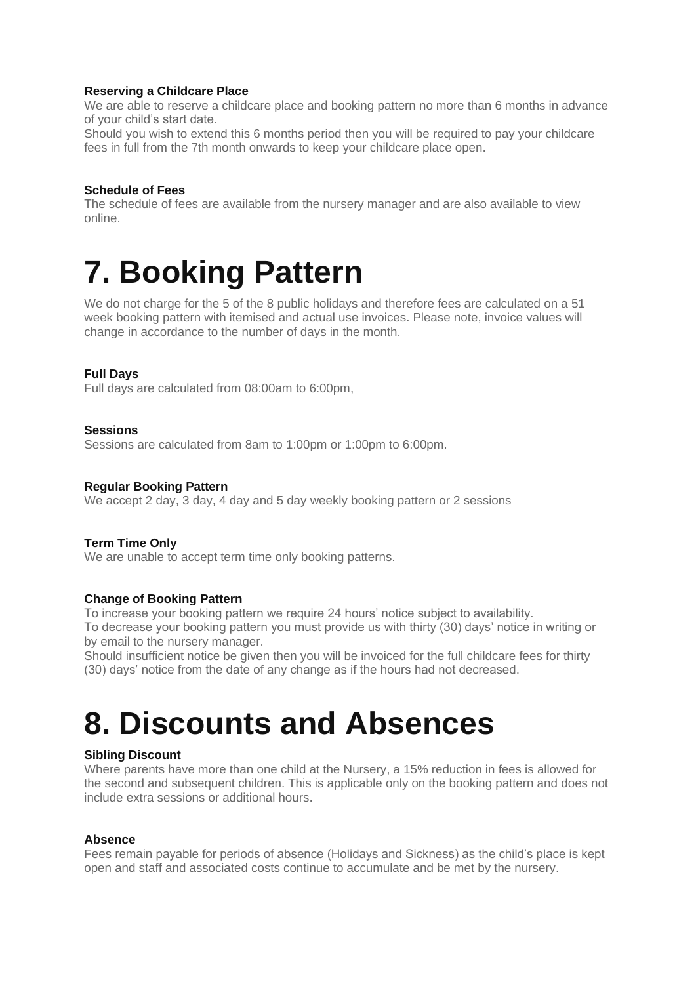## **Reserving a Childcare Place**

We are able to reserve a childcare place and booking pattern no more than 6 months in advance of your child's start date.

Should you wish to extend this 6 months period then you will be required to pay your childcare fees in full from the 7th month onwards to keep your childcare place open.

## **Schedule of Fees**

The schedule of fees are available from the nursery manager and are also available to view online.

## **7. Booking Pattern**

We do not charge for the 5 of the 8 public holidays and therefore fees are calculated on a 51 week booking pattern with itemised and actual use invoices. Please note, invoice values will change in accordance to the number of days in the month.

## **Full Days**

Full days are calculated from 08:00am to 6:00pm,

#### **Sessions**

Sessions are calculated from 8am to 1:00pm or 1:00pm to 6:00pm.

#### **Regular Booking Pattern**

We accept 2 day, 3 day, 4 day and 5 day weekly booking pattern or 2 sessions

## **Term Time Only**

We are unable to accept term time only booking patterns.

## **Change of Booking Pattern**

To increase your booking pattern we require 24 hours' notice subject to availability.

To decrease your booking pattern you must provide us with thirty (30) days' notice in writing or by email to the nursery manager.

Should insufficient notice be given then you will be invoiced for the full childcare fees for thirty (30) days' notice from the date of any change as if the hours had not decreased.

## **8. Discounts and Absences**

## **Sibling Discount**

Where parents have more than one child at the Nursery, a 15% reduction in fees is allowed for the second and subsequent children. This is applicable only on the booking pattern and does not include extra sessions or additional hours.

#### **Absence**

Fees remain payable for periods of absence (Holidays and Sickness) as the child's place is kept open and staff and associated costs continue to accumulate and be met by the nursery.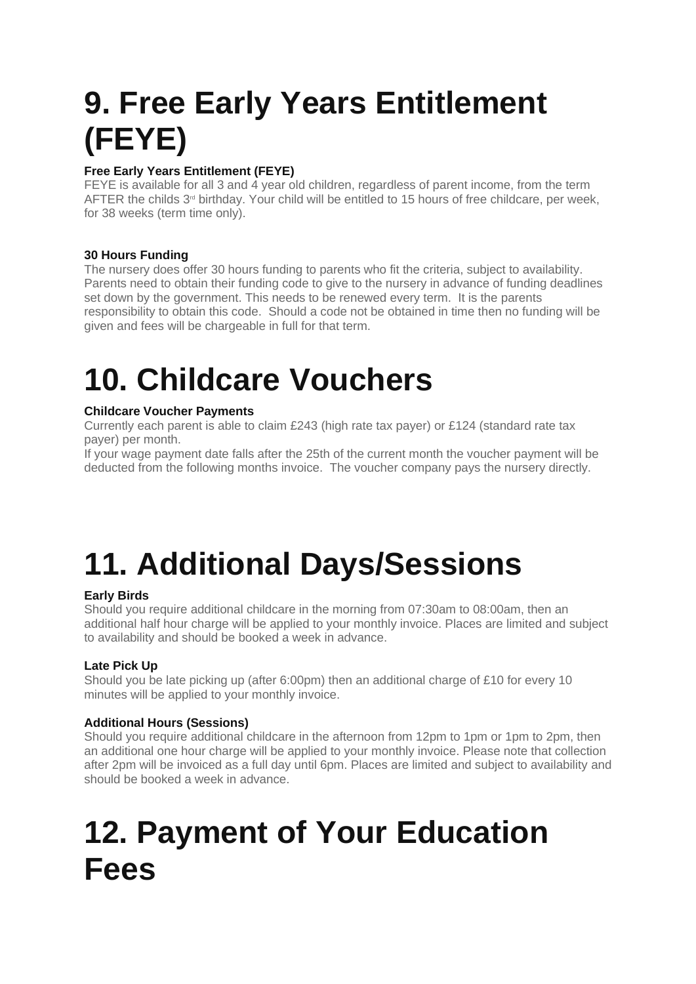# **9. Free Early Years Entitlement (FEYE)**

## **Free Early Years Entitlement (FEYE)**

FEYE is available for all 3 and 4 year old children, regardless of parent income, from the term AFTER the childs 3<sup>rd</sup> birthday. Your child will be entitled to 15 hours of free childcare, per week, for 38 weeks (term time only).

## **30 Hours Funding**

The nursery does offer 30 hours funding to parents who fit the criteria, subject to availability. Parents need to obtain their funding code to give to the nursery in advance of funding deadlines set down by the government. This needs to be renewed every term. It is the parents responsibility to obtain this code. Should a code not be obtained in time then no funding will be given and fees will be chargeable in full for that term.

# **10. Childcare Vouchers**

## **Childcare Voucher Payments**

Currently each parent is able to claim £243 (high rate tax payer) or £124 (standard rate tax payer) per month.

If your wage payment date falls after the 25th of the current month the voucher payment will be deducted from the following months invoice. The voucher company pays the nursery directly.

# **11. Additional Days/Sessions**

## **Early Birds**

Should you require additional childcare in the morning from 07:30am to 08:00am, then an additional half hour charge will be applied to your monthly invoice. Places are limited and subject to availability and should be booked a week in advance.

## **Late Pick Up**

Should you be late picking up (after 6:00pm) then an additional charge of £10 for every 10 minutes will be applied to your monthly invoice.

## **Additional Hours (Sessions)**

Should you require additional childcare in the afternoon from 12pm to 1pm or 1pm to 2pm, then an additional one hour charge will be applied to your monthly invoice. Please note that collection after 2pm will be invoiced as a full day until 6pm. Places are limited and subject to availability and should be booked a week in advance.

## **12. Payment of Your Education Fees**